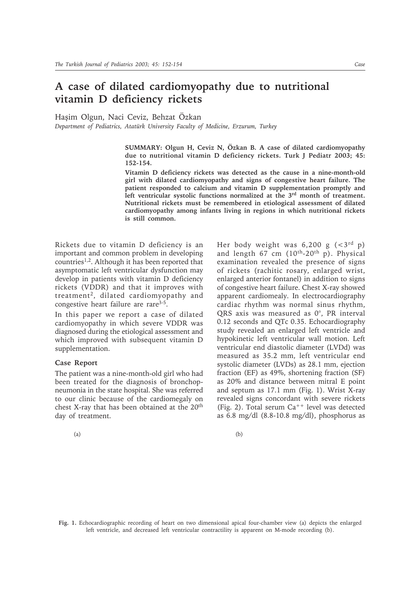## **A case of dilated cardiomyopathy due to nutritional vitamin D deficiency rickets**

Haşim Olgun, Naci Ceviz, Behzat Özkan

*Department of Pediatrics, Atatürk University Faculty of Medicine, Erzurum, Turkey*

**SUMMARY: Olgun H, Ceviz N, Özkan B. A case of dilated cardiomyopathy due to nutritional vitamin D deficiency rickets. Turk J Pediatr 2003; 45: 152-154.**

**Vitamin D deficiency rickets was detected as the cause in a nine-month-old girl with dilated cardiomyopathy and signs of congestive heart failure. The patient responded to calcium and vitamin D supplementation promptly and left ventricular systolic functions normalized at the 3rd month of treatment. Nutritional rickets must be remembered in etiological assessment of dilated cardiomyopathy among infants living in regions in which nutritional rickets is still common.**

Rickets due to vitamin D deficiency is an important and common problem in developing countries<sup>1,2</sup>. Although it has been reported that asymptomatic left ventricular dysfunction may develop in patients with vitamin D deficiency rickets (VDDR) and that it improves with treatment2, dilated cardiomyopathy and congestive heart failure are rare<sup>3-5</sup>.

In this paper we report a case of dilated cardiomyopathy in which severe VDDR was diagnosed during the etiological assessment and which improved with subsequent vitamin D supplementation.

## **Case Report**

The patient was a nine-month-old girl who had been treated for the diagnosis of bronchopneumonia in the state hospital. She was referred to our clinic because of the cardiomegaly on chest X-ray that has been obtained at the 20<sup>th</sup> day of treatment.

Her body weight was  $6,200$  g  $( $3^{rd}$  p)$ and length 67 cm (10<sup>th</sup>-20<sup>th</sup> p). Physical examination revealed the presence of signs of rickets (rachitic rosary, enlarged wrist, enlarged anterior fontanel) in addition to signs of congestive heart failure. Chest X-ray showed apparent cardiomealy. In electrocardiography cardiac rhythm was normal sinus rhythm, QRS axis was measured as 0°, PR interval 0.12 seconds and QTc 0.35. Echocardiography study revealed an enlarged left ventricle and hypokinetic left ventricular wall motion. Left ventricular end diastolic diameter (LVDd) was measured as 35.2 mm, left ventricular end systolic diameter (LVDs) as 28.1 mm, ejection fraction (EF) as 49%, shortening fraction (SF) as 20% and distance between mitral E point and septum as 17.1 mm (Fig. 1). Wrist X-ray revealed signs concordant with severe rickets (Fig. 2). Total serum  $Ca^{++}$  level was detected as 6.8 mg/dl (8.8-10.8 mg/dl), phosphorus as

 $(a)$  (b)

**Fig. 1.** Echocardiographic recording of heart on two dimensional apical four-chamber view (a) depicts the enlarged left ventricle, and decreased left ventricular contractility is apparent on M-mode recording (b).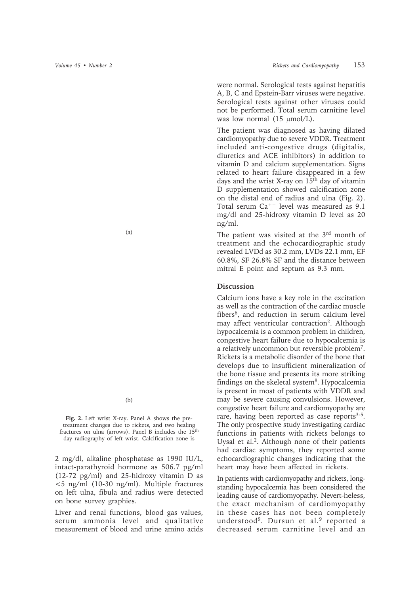were normal. Serological tests against hepatitis A, B, C and Epstein-Barr viruses were negative. Serological tests against other viruses could not be performed. Total serum carnitine level was low normal (15  $\mu$ mol/L).

The patient was diagnosed as having dilated cardiomyopathy due to severe VDDR. Treatment included anti-congestive drugs (digitalis, diuretics and ACE inhibitors) in addition to vitamin D and calcium supplementation. Signs related to heart failure disappeared in a few days and the wrist X-ray on  $15<sup>th</sup>$  day of vitamin D supplementation showed calcification zone on the distal end of radius and ulna (Fig. 2). Total serum Ca++ level was measured as 9.1 mg/dl and 25-hidroxy vitamin D level as 20 ng/ml.

The patient was visited at the 3<sup>rd</sup> month of treatment and the echocardiographic study revealed LVDd as 30.2 mm, LVDs 22.1 mm, EF 60.8%, SF 26.8% SF and the distance between mitral E point and septum as 9.3 mm.

## **Discussion**

Calcium ions have a key role in the excitation as well as the contraction of the cardiac muscle fibers<sup>6</sup>, and reduction in serum calcium level may affect ventricular contraction<sup>2</sup>. Although hypocalcemia is a common problem in children, congestive heart failure due to hypocalcemia is a relatively uncommon but reversible problem7. Rickets is a metabolic disorder of the bone that develops due to insufficient mineralization of the bone tissue and presents its more striking findings on the skeletal system $8$ . Hypocalcemia is present in most of patients with VDDR and may be severe causing convulsions. However, congestive heart failure and cardiomyopathy are rare, having been reported as case reports $3-5$ . The only prospective study investigating cardiac functions in patients with rickets belongs to Uysal et al.<sup>2</sup>. Although none of their patients had cardiac symptoms, they reported some echocardiographic changes indicating that the heart may have been affected in rickets.

In patients with cardiomyopathy and rickets, longstanding hypocalcemia has been considered the leading cause of cardiomyopathy. Nevert-heless, the exact mechanism of cardiomyopathy in these cases has not been completely understood<sup>9</sup>. Dursun et al.<sup>9</sup> reported a decreased serum carnitine level and an

(a)

(b)

**Fig. 2.** Left wrist X-ray. Panel A shows the pretreatment changes due to rickets, and two healing fractures on ulna (arrows). Panel B includes the 15<sup>th</sup> day radiography of left wrist. Calcification zone is

2 mg/dl, alkaline phosphatase as 1990 IU/L, intact-parathyroid hormone as 506.7 pg/ml (12-72 pg/ml) and 25-hidroxy vitamin D as <5 ng/ml (10-30 ng/ml). Multiple fractures on left ulna, fibula and radius were detected on bone survey graphies.

Liver and renal functions, blood gas values, serum ammonia level and qualitative measurement of blood and urine amino acids